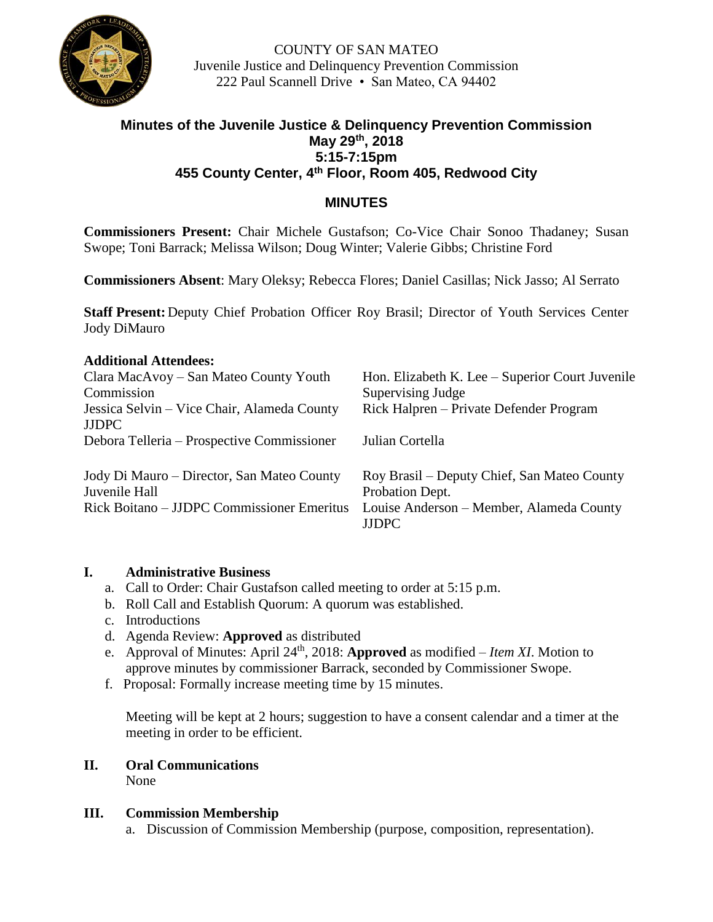

COUNTY OF SAN MATEO Juvenile Justice and Delinquency Prevention Commission 222 Paul Scannell Drive • San Mateo, CA 94402

# **Minutes of the Juvenile Justice & Delinquency Prevention Commission May 29th, 2018 5:15-7:15pm 455 County Center, 4th Floor, Room 405, Redwood City**

## **MINUTES**

**Commissioners Present:** Chair Michele Gustafson; Co-Vice Chair Sonoo Thadaney; Susan Swope; Toni Barrack; Melissa Wilson; Doug Winter; Valerie Gibbs; Christine Ford

**Commissioners Absent**: Mary Oleksy; Rebecca Flores; Daniel Casillas; Nick Jasso; Al Serrato

**Staff Present:** Deputy Chief Probation Officer Roy Brasil; Director of Youth Services Center Jody DiMauro

#### **Additional Attendees:**

| Clara MacAvoy – San Mateo County Youth<br>Commission        | Hon. Elizabeth K. Lee – Superior Court Juvenile<br>Supervising Judge |
|-------------------------------------------------------------|----------------------------------------------------------------------|
| Jessica Selvin – Vice Chair, Alameda County<br><b>JJDPC</b> | Rick Halpren – Private Defender Program                              |
| Debora Telleria – Prospective Commissioner                  | Julian Cortella                                                      |
| Jody Di Mauro - Director, San Mateo County<br>Juvenile Hall | Roy Brasil - Deputy Chief, San Mateo County<br>Probation Dept.       |
| Rick Boitano – JJDPC Commissioner Emeritus                  | Louise Anderson - Member, Alameda County<br><b>JJDPC</b>             |

#### **I. Administrative Business**

- a. Call to Order: Chair Gustafson called meeting to order at 5:15 p.m.
- b. Roll Call and Establish Quorum: A quorum was established.
- c. Introductions
- d. Agenda Review: **Approved** as distributed
- e. Approval of Minutes: April 24<sup>th</sup>, 2018: **Approved** as modified *Item XI*. Motion to approve minutes by commissioner Barrack, seconded by Commissioner Swope.
- f. Proposal: Formally increase meeting time by 15 minutes.

Meeting will be kept at 2 hours; suggestion to have a consent calendar and a timer at the meeting in order to be efficient.

# **II. Oral Communications**

None

#### **III. Commission Membership**

a. Discussion of Commission Membership (purpose, composition, representation).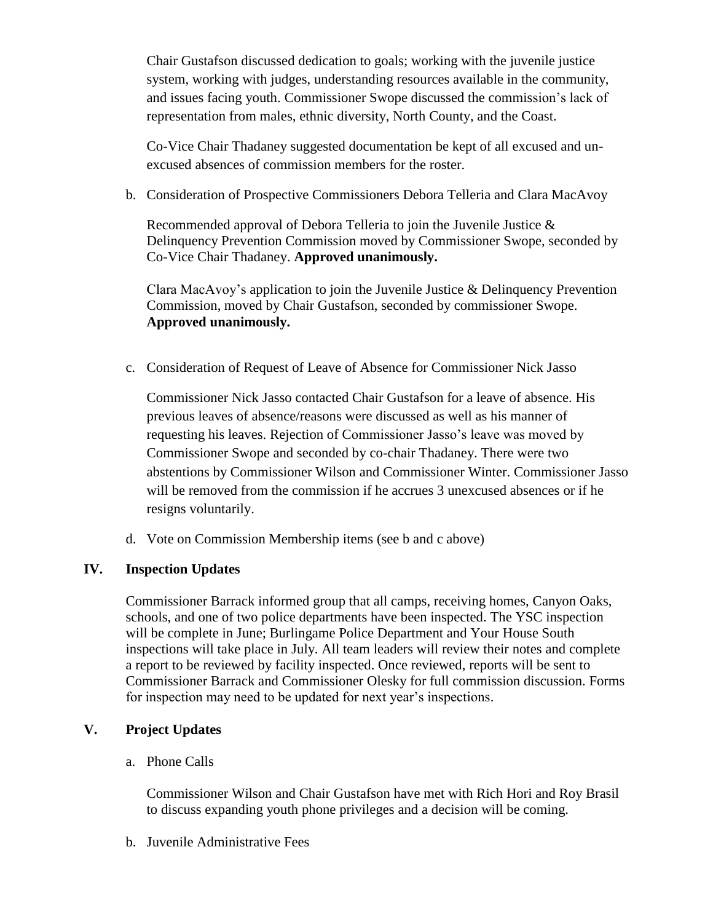Chair Gustafson discussed dedication to goals; working with the juvenile justice system, working with judges, understanding resources available in the community, and issues facing youth. Commissioner Swope discussed the commission's lack of representation from males, ethnic diversity, North County, and the Coast.

Co-Vice Chair Thadaney suggested documentation be kept of all excused and unexcused absences of commission members for the roster.

b. Consideration of Prospective Commissioners Debora Telleria and Clara MacAvoy

Recommended approval of Debora Telleria to join the Juvenile Justice & Delinquency Prevention Commission moved by Commissioner Swope, seconded by Co-Vice Chair Thadaney. **Approved unanimously.**

Clara MacAvoy's application to join the Juvenile Justice & Delinquency Prevention Commission, moved by Chair Gustafson, seconded by commissioner Swope. **Approved unanimously.**

c. Consideration of Request of Leave of Absence for Commissioner Nick Jasso

Commissioner Nick Jasso contacted Chair Gustafson for a leave of absence. His previous leaves of absence/reasons were discussed as well as his manner of requesting his leaves. Rejection of Commissioner Jasso's leave was moved by Commissioner Swope and seconded by co-chair Thadaney. There were two abstentions by Commissioner Wilson and Commissioner Winter. Commissioner Jasso will be removed from the commission if he accrues 3 unexcused absences or if he resigns voluntarily.

d. Vote on Commission Membership items (see b and c above)

### **IV. Inspection Updates**

Commissioner Barrack informed group that all camps, receiving homes, Canyon Oaks, schools, and one of two police departments have been inspected. The YSC inspection will be complete in June; Burlingame Police Department and Your House South inspections will take place in July. All team leaders will review their notes and complete a report to be reviewed by facility inspected. Once reviewed, reports will be sent to Commissioner Barrack and Commissioner Olesky for full commission discussion. Forms for inspection may need to be updated for next year's inspections.

# **V. Project Updates**

a. Phone Calls

Commissioner Wilson and Chair Gustafson have met with Rich Hori and Roy Brasil to discuss expanding youth phone privileges and a decision will be coming.

b. Juvenile Administrative Fees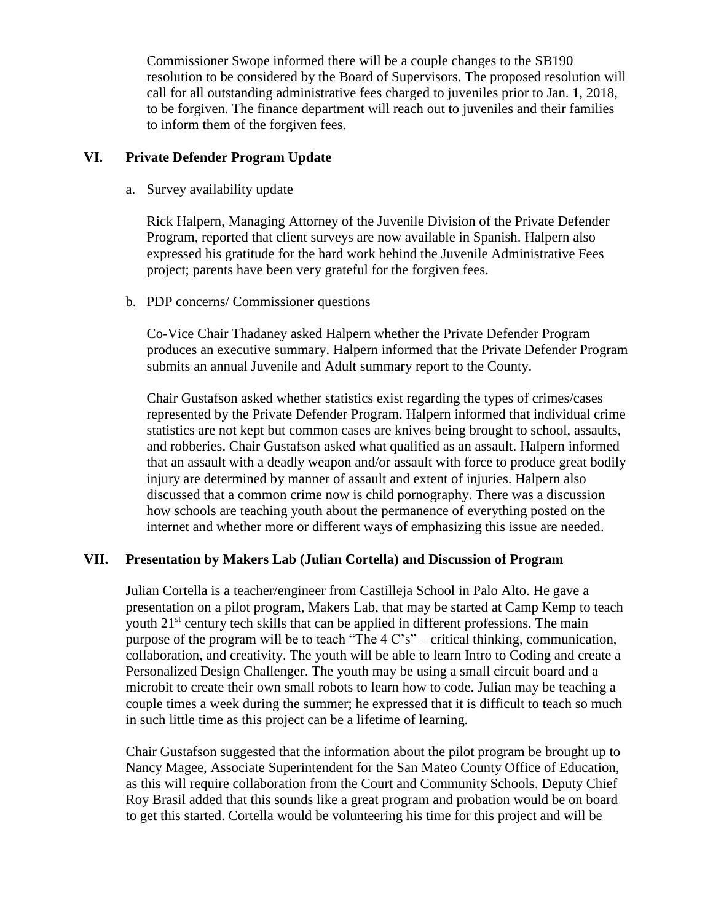Commissioner Swope informed there will be a couple changes to the SB190 resolution to be considered by the Board of Supervisors. The proposed resolution will call for all outstanding administrative fees charged to juveniles prior to Jan. 1, 2018, to be forgiven. The finance department will reach out to juveniles and their families to inform them of the forgiven fees.

#### **VI. Private Defender Program Update**

a. Survey availability update

Rick Halpern, Managing Attorney of the Juvenile Division of the Private Defender Program, reported that client surveys are now available in Spanish. Halpern also expressed his gratitude for the hard work behind the Juvenile Administrative Fees project; parents have been very grateful for the forgiven fees.

b. PDP concerns/ Commissioner questions

Co-Vice Chair Thadaney asked Halpern whether the Private Defender Program produces an executive summary. Halpern informed that the Private Defender Program submits an annual Juvenile and Adult summary report to the County.

Chair Gustafson asked whether statistics exist regarding the types of crimes/cases represented by the Private Defender Program. Halpern informed that individual crime statistics are not kept but common cases are knives being brought to school, assaults, and robberies. Chair Gustafson asked what qualified as an assault. Halpern informed that an assault with a deadly weapon and/or assault with force to produce great bodily injury are determined by manner of assault and extent of injuries. Halpern also discussed that a common crime now is child pornography. There was a discussion how schools are teaching youth about the permanence of everything posted on the internet and whether more or different ways of emphasizing this issue are needed.

### **VII. Presentation by Makers Lab (Julian Cortella) and Discussion of Program**

Julian Cortella is a teacher/engineer from Castilleja School in Palo Alto. He gave a presentation on a pilot program, Makers Lab, that may be started at Camp Kemp to teach youth 21<sup>st</sup> century tech skills that can be applied in different professions. The main purpose of the program will be to teach "The 4 C's" – critical thinking, communication, collaboration, and creativity. The youth will be able to learn Intro to Coding and create a Personalized Design Challenger. The youth may be using a small circuit board and a microbit to create their own small robots to learn how to code. Julian may be teaching a couple times a week during the summer; he expressed that it is difficult to teach so much in such little time as this project can be a lifetime of learning.

Chair Gustafson suggested that the information about the pilot program be brought up to Nancy Magee, Associate Superintendent for the San Mateo County Office of Education, as this will require collaboration from the Court and Community Schools. Deputy Chief Roy Brasil added that this sounds like a great program and probation would be on board to get this started. Cortella would be volunteering his time for this project and will be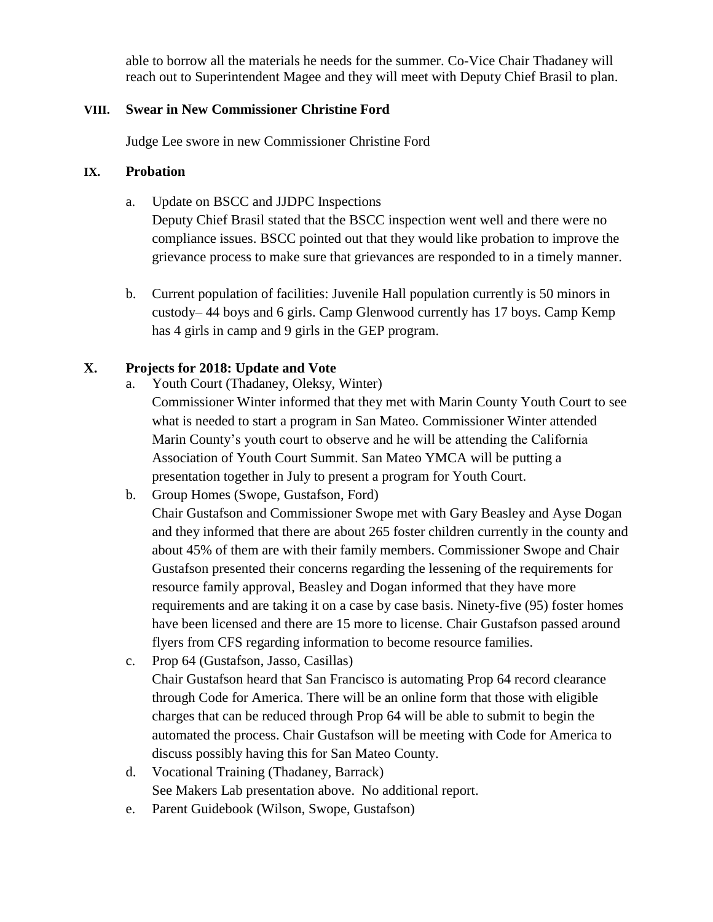able to borrow all the materials he needs for the summer. Co-Vice Chair Thadaney will reach out to Superintendent Magee and they will meet with Deputy Chief Brasil to plan.

#### **VIII. Swear in New Commissioner Christine Ford**

Judge Lee swore in new Commissioner Christine Ford

#### **IX. Probation**

a. Update on BSCC and JJDPC Inspections

Deputy Chief Brasil stated that the BSCC inspection went well and there were no compliance issues. BSCC pointed out that they would like probation to improve the grievance process to make sure that grievances are responded to in a timely manner.

b. Current population of facilities: Juvenile Hall population currently is 50 minors in custody– 44 boys and 6 girls. Camp Glenwood currently has 17 boys. Camp Kemp has 4 girls in camp and 9 girls in the GEP program.

### **X. Projects for 2018: Update and Vote**

- a. Youth Court (Thadaney, Oleksy, Winter)
	- Commissioner Winter informed that they met with Marin County Youth Court to see what is needed to start a program in San Mateo. Commissioner Winter attended Marin County's youth court to observe and he will be attending the California Association of Youth Court Summit. San Mateo YMCA will be putting a presentation together in July to present a program for Youth Court.
- b. Group Homes (Swope, Gustafson, Ford)

Chair Gustafson and Commissioner Swope met with Gary Beasley and Ayse Dogan and they informed that there are about 265 foster children currently in the county and about 45% of them are with their family members. Commissioner Swope and Chair Gustafson presented their concerns regarding the lessening of the requirements for resource family approval, Beasley and Dogan informed that they have more requirements and are taking it on a case by case basis. Ninety-five (95) foster homes have been licensed and there are 15 more to license. Chair Gustafson passed around flyers from CFS regarding information to become resource families.

- c. Prop 64 (Gustafson, Jasso, Casillas) Chair Gustafson heard that San Francisco is automating Prop 64 record clearance through Code for America. There will be an online form that those with eligible charges that can be reduced through Prop 64 will be able to submit to begin the automated the process. Chair Gustafson will be meeting with Code for America to discuss possibly having this for San Mateo County.
- d. Vocational Training (Thadaney, Barrack) See Makers Lab presentation above. No additional report.
- e. Parent Guidebook (Wilson, Swope, Gustafson)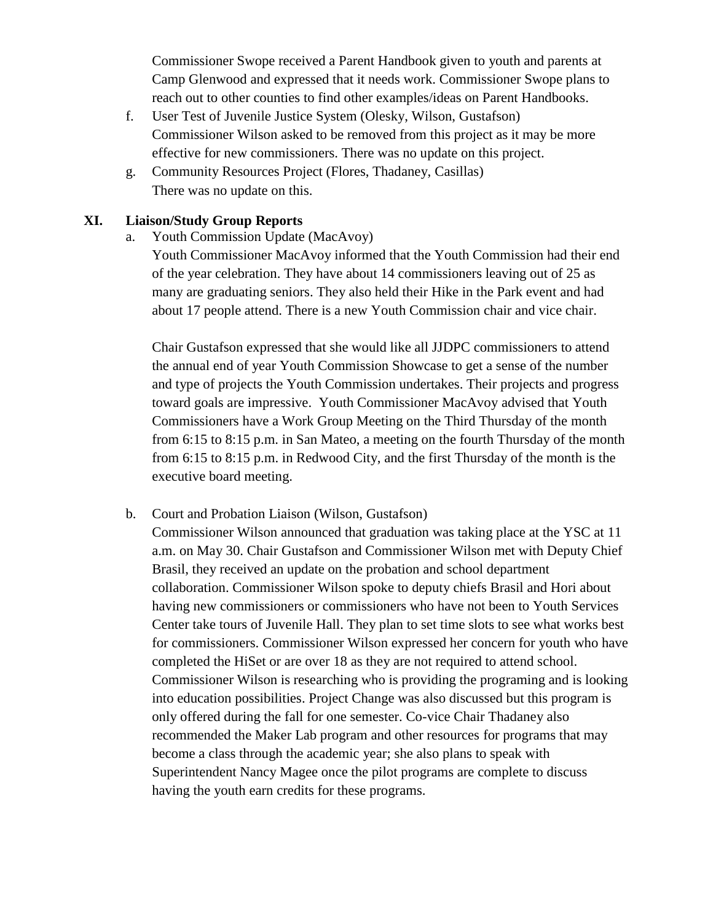Commissioner Swope received a Parent Handbook given to youth and parents at Camp Glenwood and expressed that it needs work. Commissioner Swope plans to reach out to other counties to find other examples/ideas on Parent Handbooks.

- f. User Test of Juvenile Justice System (Olesky, Wilson, Gustafson) Commissioner Wilson asked to be removed from this project as it may be more effective for new commissioners. There was no update on this project.
- g. Community Resources Project (Flores, Thadaney, Casillas) There was no update on this.

#### **XI. Liaison/Study Group Reports**

- a. Youth Commission Update (MacAvoy)
	- Youth Commissioner MacAvoy informed that the Youth Commission had their end of the year celebration. They have about 14 commissioners leaving out of 25 as many are graduating seniors. They also held their Hike in the Park event and had about 17 people attend. There is a new Youth Commission chair and vice chair.

Chair Gustafson expressed that she would like all JJDPC commissioners to attend the annual end of year Youth Commission Showcase to get a sense of the number and type of projects the Youth Commission undertakes. Their projects and progress toward goals are impressive. Youth Commissioner MacAvoy advised that Youth Commissioners have a Work Group Meeting on the Third Thursday of the month from 6:15 to 8:15 p.m. in San Mateo, a meeting on the fourth Thursday of the month from 6:15 to 8:15 p.m. in Redwood City, and the first Thursday of the month is the executive board meeting.

b. Court and Probation Liaison (Wilson, Gustafson)

Commissioner Wilson announced that graduation was taking place at the YSC at 11 a.m. on May 30. Chair Gustafson and Commissioner Wilson met with Deputy Chief Brasil, they received an update on the probation and school department collaboration. Commissioner Wilson spoke to deputy chiefs Brasil and Hori about having new commissioners or commissioners who have not been to Youth Services Center take tours of Juvenile Hall. They plan to set time slots to see what works best for commissioners. Commissioner Wilson expressed her concern for youth who have completed the HiSet or are over 18 as they are not required to attend school. Commissioner Wilson is researching who is providing the programing and is looking into education possibilities. Project Change was also discussed but this program is only offered during the fall for one semester. Co-vice Chair Thadaney also recommended the Maker Lab program and other resources for programs that may become a class through the academic year; she also plans to speak with Superintendent Nancy Magee once the pilot programs are complete to discuss having the youth earn credits for these programs.